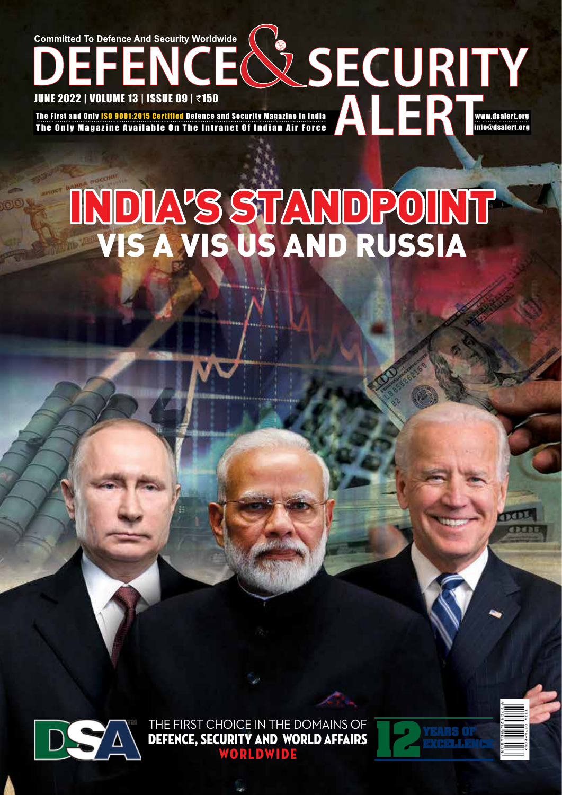### **Committed To Defence And Security Worldwide** JUNE 2022 | VOLUME 13 | ISSUE 09 | ₹150 The First and Only ISO 9001:2015 Certified Defence and Security Magazine in India www.dsalert.org The Only Magazine Available On The Intranet Of Indian Air Force info@dsalert.org

# vis a vis US and Russia India's Standpoint



THE FIRST CHOICE IN THE DOMAINS OF Defence, Security and World Affairs WORLDWIDE



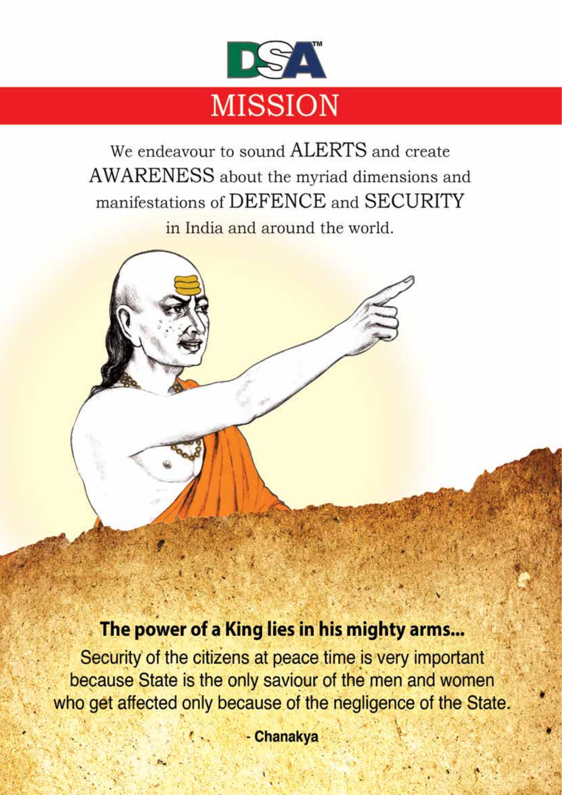

We endeavour to sound ALERTS and create AWARENESS about the myriad dimensions and manifestations of DEFENCE and SECURITY in India and around the world.

## The power of a King lies in his mighty arms...

Security of the citizens at peace time is very important because State is the only saviour of the men and women who get affected only because of the negligence of the State.

- Chanakya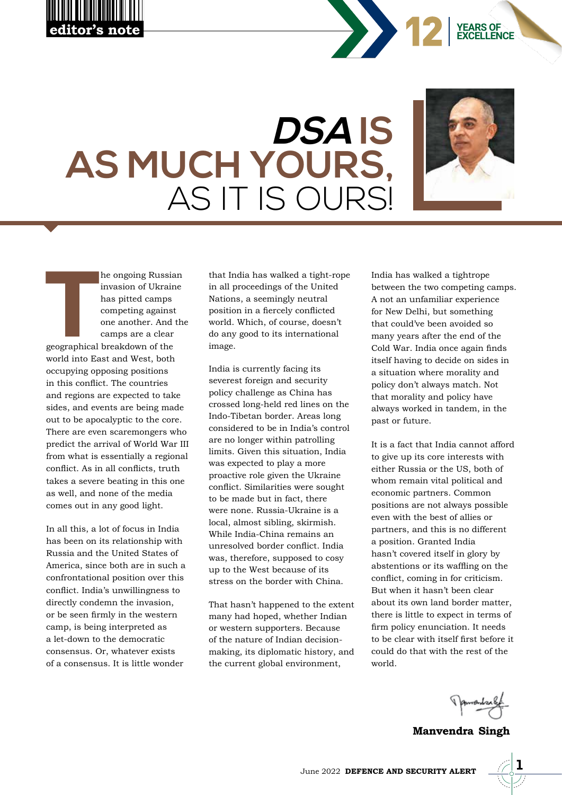





**EXCELLENCE YEARS OF**

he ongoing Russia<br>
invasion of Ukrain<br>
has pitted camps<br>
competing against<br>
one another. And<br>
camps are a clear<br>
geographical breakdown of the he ongoing Russian invasion of Ukraine has pitted camps competing against one another. And the camps are a clear

world into East and West, both occupying opposing positions in this conflict. The countries and regions are expected to take sides, and events are being made out to be apocalyptic to the core. There are even scaremongers who predict the arrival of World War III from what is essentially a regional conflict. As in all conflicts, truth takes a severe beating in this one as well, and none of the media comes out in any good light.

In all this, a lot of focus in India has been on its relationship with Russia and the United States of America, since both are in such a confrontational position over this conflict. India's unwillingness to directly condemn the invasion, or be seen firmly in the western camp, is being interpreted as a let-down to the democratic consensus. Or, whatever exists of a consensus. It is little wonder

that India has walked a tight-rope in all proceedings of the United Nations, a seemingly neutral position in a fiercely conflicted world. Which, of course, doesn't do any good to its international image.

India is currently facing its severest foreign and security policy challenge as China has crossed long-held red lines on the Indo-Tibetan border. Areas long considered to be in India's control are no longer within patrolling limits. Given this situation, India was expected to play a more proactive role given the Ukraine conflict. Similarities were sought to be made but in fact, there were none. Russia-Ukraine is a local, almost sibling, skirmish. While India-China remains an unresolved border conflict. India was, therefore, supposed to cosy up to the West because of its stress on the border with China.

That hasn't happened to the extent many had hoped, whether Indian or western supporters. Because of the nature of Indian decisionmaking, its diplomatic history, and the current global environment,

India has walked a tightrope between the two competing camps. A not an unfamiliar experience for New Delhi, but something that could've been avoided so many years after the end of the Cold War. India once again finds itself having to decide on sides in a situation where morality and policy don't always match. Not that morality and policy have always worked in tandem, in the past or future.

It is a fact that India cannot afford to give up its core interests with either Russia or the US, both of whom remain vital political and economic partners. Common positions are not always possible even with the best of allies or partners, and this is no different a position. Granted India hasn't covered itself in glory by abstentions or its waffling on the conflict, coming in for criticism. But when it hasn't been clear about its own land border matter, there is little to expect in terms of firm policy enunciation. It needs to be clear with itself first before it could do that with the rest of the world.

**Manvendra Singh**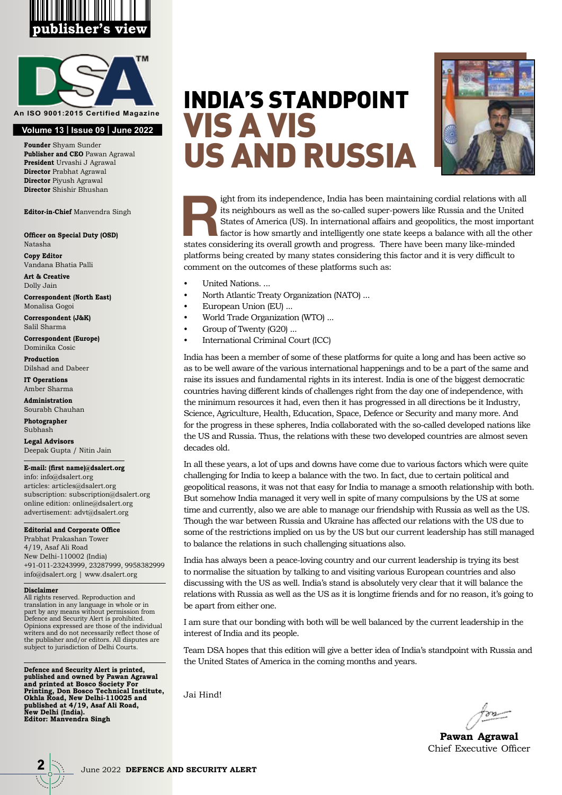



**Volume 13 | Issue 09 | June 2022**

**Founder** Shyam Sunder **Publisher and CEO** Pawan Agrawal **President** Urvashi J Agrawal **Director** Prabhat Agrawal **Director** Piyush Agrawal **Director** Shishir Bhushan

**Editor-in-Chief** Manvendra Singh

**Officer on Special Duty (OSD)** Natasha

**Copy Editor** Vandana Bhatia Palli

**Art & Creative** Dolly Jain

**Correspondent (North East)** Monalisa Gogoi

**Correspondent (J&K)** Salil Sharma

**Correspondent (Europe)** Dominika Cosic

**Production** Dilshad and Dabeer

**IT Operations** Amber Sharma

**Administration** Sourabh Chauhan

**Photographer**  Subhash

**Legal Advisors** Deepak Gupta / Nitin Jain

#### **E-mail: (first name)@dsalert.org**

info: info@dsalert.org articles: articles@dsalert.org subscription: subscription@dsalert.org online edition: online@dsalert.org advertisement: advt@dsalert.org

#### **Editorial and Corporate Office**

Prabhat Prakashan Tower 4/19, Asaf Ali Road New Delhi-110002 (India) +91-011-23243999, 23287999, 9958382999 info@dsalert.org | www.dsalert.org

#### **Disclaimer**

All rights reserved. Reproduction and translation in any language in whole or in part by any means without permission from Defence and Security Alert is prohibited. Opinions expressed are those of the individual writers and do not necessarily reflect those of the publisher and/or editors. All disputes are subject to jurisdiction of Delhi Courts.

**Defence and Security Alert is printed, published and owned by Pawan Agrawal and printed at Bosco Society For Printing, Don Bosco Technical Institute, Okhla Road, New Delhi-110025 and published at 4/19, Asaf Ali Road, New Delhi (India). Editor: Manvendra Singh**

## vis a vis US and Russia India's Standpoint



ight from its independence, India has been maintaining cordial relations with all<br>its neighbours as well as the so-called super-powers like Russia and the United<br>States of America (US). In international affairs and geopoli its neighbours as well as the so-called super-powers like Russia and the United States of America (US). In international affairs and geopolitics, the most important factor is how smartly and intelligently one state keeps a balance with all the other states considering its overall growth and progress. There have been many like-minded platforms being created by many states considering this factor and it is very difficult to comment on the outcomes of these platforms such as:

- United Nations. ...
- North Atlantic Treaty Organization (NATO) ...
- European Union (EU) ...
- World Trade Organization (WTO) ...
- Group of Twenty (G20) ...
- International Criminal Court (ICC)

India has been a member of some of these platforms for quite a long and has been active so as to be well aware of the various international happenings and to be a part of the same and raise its issues and fundamental rights in its interest. India is one of the biggest democratic countries having different kinds of challenges right from the day one of independence, with the minimum resources it had, even then it has progressed in all directions be it Industry, Science, Agriculture, Health, Education, Space, Defence or Security and many more. And for the progress in these spheres, India collaborated with the so-called developed nations like the US and Russia. Thus, the relations with these two developed countries are almost seven decades old.

In all these years, a lot of ups and downs have come due to various factors which were quite challenging for India to keep a balance with the two. In fact, due to certain political and geopolitical reasons, it was not that easy for India to manage a smooth relationship with both. But somehow India managed it very well in spite of many compulsions by the US at some time and currently, also we are able to manage our friendship with Russia as well as the US. Though the war between Russia and Ukraine has affected our relations with the US due to some of the restrictions implied on us by the US but our current leadership has still managed to balance the relations in such challenging situations also.

India has always been a peace-loving country and our current leadership is trying its best to normalise the situation by talking to and visiting various European countries and also discussing with the US as well. India's stand is absolutely very clear that it will balance the relations with Russia as well as the US as it is longtime friends and for no reason, it's going to be apart from either one.

I am sure that our bonding with both will be well balanced by the current leadership in the interest of India and its people.

Team DSA hopes that this edition will give a better idea of India's standpoint with Russia and the United States of America in the coming months and years.

Jai Hind!

**Pawan Agrawal** Chief Executive Officer